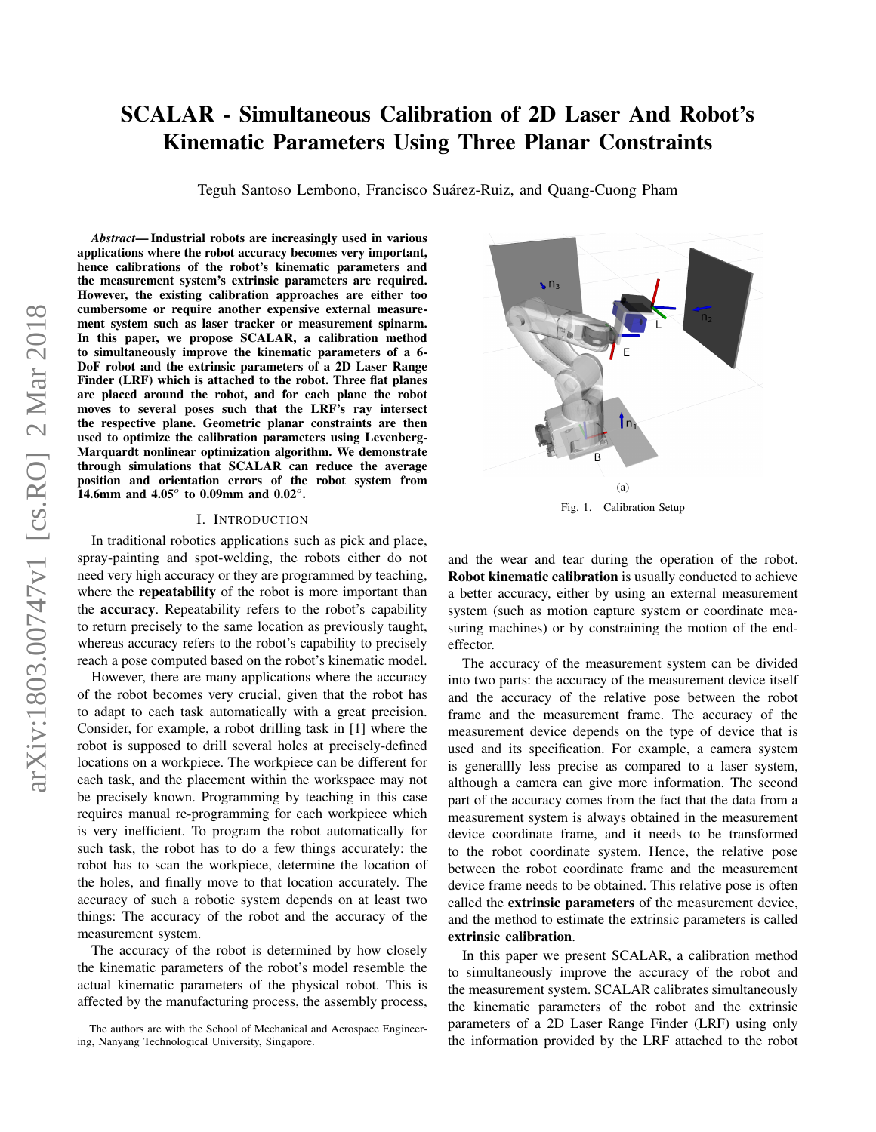# SCALAR - Simultaneous Calibration of 2D Laser And Robot's Kinematic Parameters Using Three Planar Constraints

Teguh Santoso Lembono, Francisco Suárez-Ruiz, and Quang-Cuong Pham

arXiv:1803.00747v1 [cs.RO] 2 Mar 2018 arXiv:1803.00747v1 [cs.RO] 2 Mar 2018

*Abstract*— Industrial robots are increasingly used in various applications where the robot accuracy becomes very important, hence calibrations of the robot's kinematic parameters and the measurement system's extrinsic parameters are required. However, the existing calibration approaches are either too cumbersome or require another expensive external measurement system such as laser tracker or measurement spinarm. In this paper, we propose SCALAR, a calibration method to simultaneously improve the kinematic parameters of a 6- DoF robot and the extrinsic parameters of a 2D Laser Range Finder (LRF) which is attached to the robot. Three flat planes are placed around the robot, and for each plane the robot moves to several poses such that the LRF's ray intersect the respective plane. Geometric planar constraints are then used to optimize the calibration parameters using Levenberg-Marquardt nonlinear optimization algorithm. We demonstrate through simulations that SCALAR can reduce the average position and orientation errors of the robot system from 14.6mm and  $4.05^{\circ}$  to 0.09mm and 0.02<sup>o</sup>.

### I. INTRODUCTION

In traditional robotics applications such as pick and place, spray-painting and spot-welding, the robots either do not need very high accuracy or they are programmed by teaching, where the **repeatability** of the robot is more important than the accuracy. Repeatability refers to the robot's capability to return precisely to the same location as previously taught, whereas accuracy refers to the robot's capability to precisely reach a pose computed based on the robot's kinematic model.

However, there are many applications where the accuracy of the robot becomes very crucial, given that the robot has to adapt to each task automatically with a great precision. Consider, for example, a robot drilling task in [1] where the robot is supposed to drill several holes at precisely-defined locations on a workpiece. The workpiece can be different for each task, and the placement within the workspace may not be precisely known. Programming by teaching in this case requires manual re-programming for each workpiece which is very inefficient. To program the robot automatically for such task, the robot has to do a few things accurately: the robot has to scan the workpiece, determine the location of the holes, and finally move to that location accurately. The accuracy of such a robotic system depends on at least two things: The accuracy of the robot and the accuracy of the measurement system.

The accuracy of the robot is determined by how closely the kinematic parameters of the robot's model resemble the actual kinematic parameters of the physical robot. This is affected by the manufacturing process, the assembly process,



<span id="page-0-0"></span>Fig. 1. Calibration Setup

and the wear and tear during the operation of the robot. Robot kinematic calibration is usually conducted to achieve a better accuracy, either by using an external measurement system (such as motion capture system or coordinate measuring machines) or by constraining the motion of the endeffector.

The accuracy of the measurement system can be divided into two parts: the accuracy of the measurement device itself and the accuracy of the relative pose between the robot frame and the measurement frame. The accuracy of the measurement device depends on the type of device that is used and its specification. For example, a camera system is generallly less precise as compared to a laser system, although a camera can give more information. The second part of the accuracy comes from the fact that the data from a measurement system is always obtained in the measurement device coordinate frame, and it needs to be transformed to the robot coordinate system. Hence, the relative pose between the robot coordinate frame and the measurement device frame needs to be obtained. This relative pose is often called the extrinsic parameters of the measurement device, and the method to estimate the extrinsic parameters is called extrinsic calibration.

In this paper we present SCALAR, a calibration method to simultaneously improve the accuracy of the robot and the measurement system. SCALAR calibrates simultaneously the kinematic parameters of the robot and the extrinsic parameters of a 2D Laser Range Finder (LRF) using only the information provided by the LRF attached to the robot

The authors are with the School of Mechanical and Aerospace Engineering, Nanyang Technological University, Singapore.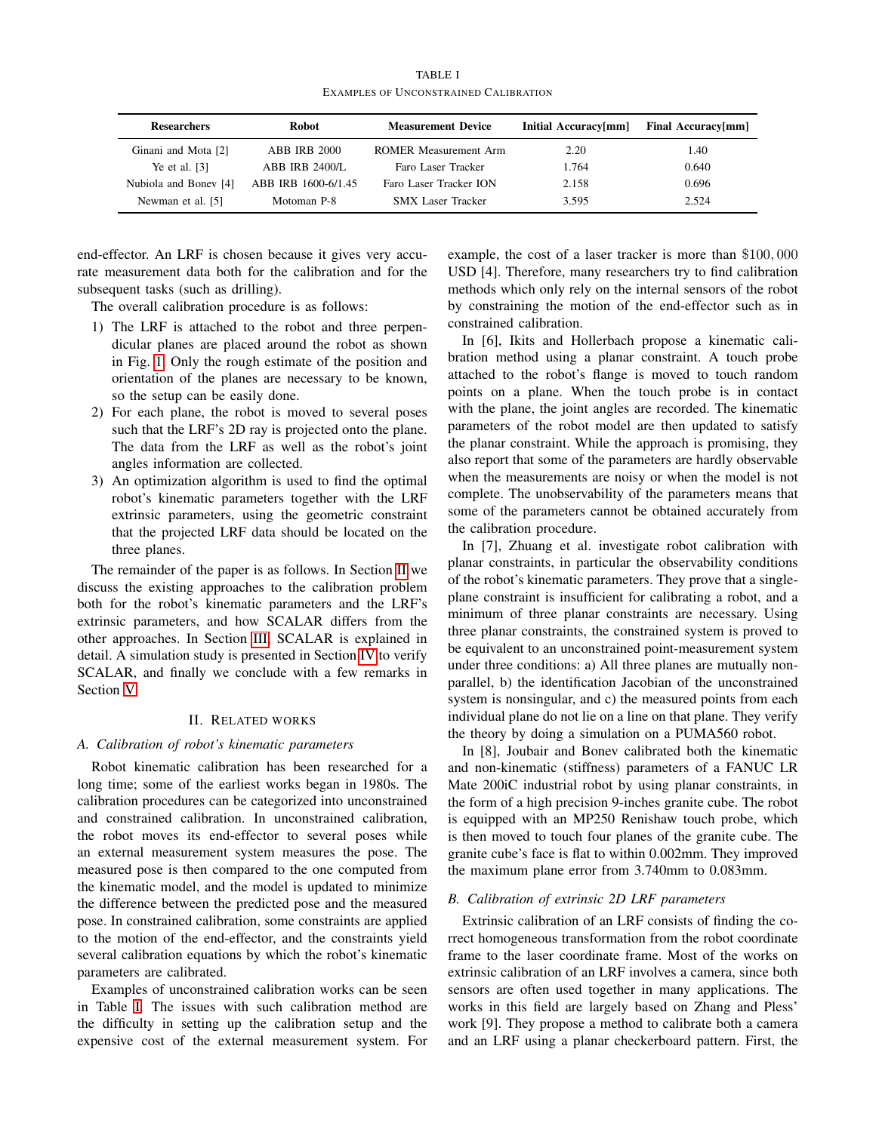<span id="page-1-1"></span>

| <b>Researchers</b>    | Robot                 | <b>Measurement Device</b>    | Initial Accuracy[mm] | Final Accuracy[mm] |
|-----------------------|-----------------------|------------------------------|----------------------|--------------------|
| Ginani and Mota [2]   | <b>ABB IRB 2000</b>   | <b>ROMER Measurement Arm</b> | 2.20                 | 1.40               |
| Ye et al. $[3]$       | <b>ABB IRB 2400/L</b> | Faro Laser Tracker           | 1.764                | 0.640              |
| Nubiola and Boney [4] | ABB IRB 1600-6/1.45   | Faro Laser Tracker ION       | 2.158                | 0.696              |
| Newman et al. [5]     | Motoman P-8           | <b>SMX</b> Laser Tracker     | 3.595                | 2.524              |

TABLE I EXAMPLES OF UNCONSTRAINED CALIBRATION

end-effector. An LRF is chosen because it gives very accurate measurement data both for the calibration and for the subsequent tasks (such as drilling).

The overall calibration procedure is as follows:

- 1) The LRF is attached to the robot and three perpendicular planes are placed around the robot as shown in Fig. [1.](#page-0-0) Only the rough estimate of the position and orientation of the planes are necessary to be known, so the setup can be easily done.
- 2) For each plane, the robot is moved to several poses such that the LRF's 2D ray is projected onto the plane. The data from the LRF as well as the robot's joint angles information are collected.
- 3) An optimization algorithm is used to find the optimal robot's kinematic parameters together with the LRF extrinsic parameters, using the geometric constraint that the projected LRF data should be located on the three planes.

The remainder of the paper is as follows. In Section [II](#page-1-0) we discuss the existing approaches to the calibration problem both for the robot's kinematic parameters and the LRF's extrinsic parameters, and how SCALAR differs from the other approaches. In Section [III,](#page-2-0) SCALAR is explained in detail. A simulation study is presented in Section [IV](#page-4-0) to verify SCALAR, and finally we conclude with a few remarks in Section [V.](#page-5-0)

#### II. RELATED WORKS

#### <span id="page-1-0"></span>*A. Calibration of robot's kinematic parameters*

Robot kinematic calibration has been researched for a long time; some of the earliest works began in 1980s. The calibration procedures can be categorized into unconstrained and constrained calibration. In unconstrained calibration, the robot moves its end-effector to several poses while an external measurement system measures the pose. The measured pose is then compared to the one computed from the kinematic model, and the model is updated to minimize the difference between the predicted pose and the measured pose. In constrained calibration, some constraints are applied to the motion of the end-effector, and the constraints yield several calibration equations by which the robot's kinematic parameters are calibrated.

Examples of unconstrained calibration works can be seen in Table [I.](#page-1-1) The issues with such calibration method are the difficulty in setting up the calibration setup and the expensive cost of the external measurement system. For example, the cost of a laser tracker is more than \$100, 000 USD [4]. Therefore, many researchers try to find calibration methods which only rely on the internal sensors of the robot by constraining the motion of the end-effector such as in constrained calibration.

In [6], Ikits and Hollerbach propose a kinematic calibration method using a planar constraint. A touch probe attached to the robot's flange is moved to touch random points on a plane. When the touch probe is in contact with the plane, the joint angles are recorded. The kinematic parameters of the robot model are then updated to satisfy the planar constraint. While the approach is promising, they also report that some of the parameters are hardly observable when the measurements are noisy or when the model is not complete. The unobservability of the parameters means that some of the parameters cannot be obtained accurately from the calibration procedure.

In [7], Zhuang et al. investigate robot calibration with planar constraints, in particular the observability conditions of the robot's kinematic parameters. They prove that a singleplane constraint is insufficient for calibrating a robot, and a minimum of three planar constraints are necessary. Using three planar constraints, the constrained system is proved to be equivalent to an unconstrained point-measurement system under three conditions: a) All three planes are mutually nonparallel, b) the identification Jacobian of the unconstrained system is nonsingular, and c) the measured points from each individual plane do not lie on a line on that plane. They verify the theory by doing a simulation on a PUMA560 robot.

In [8], Joubair and Bonev calibrated both the kinematic and non-kinematic (stiffness) parameters of a FANUC LR Mate 200iC industrial robot by using planar constraints, in the form of a high precision 9-inches granite cube. The robot is equipped with an MP250 Renishaw touch probe, which is then moved to touch four planes of the granite cube. The granite cube's face is flat to within 0.002mm. They improved the maximum plane error from 3.740mm to 0.083mm.

# *B. Calibration of extrinsic 2D LRF parameters*

Extrinsic calibration of an LRF consists of finding the correct homogeneous transformation from the robot coordinate frame to the laser coordinate frame. Most of the works on extrinsic calibration of an LRF involves a camera, since both sensors are often used together in many applications. The works in this field are largely based on Zhang and Pless' work [9]. They propose a method to calibrate both a camera and an LRF using a planar checkerboard pattern. First, the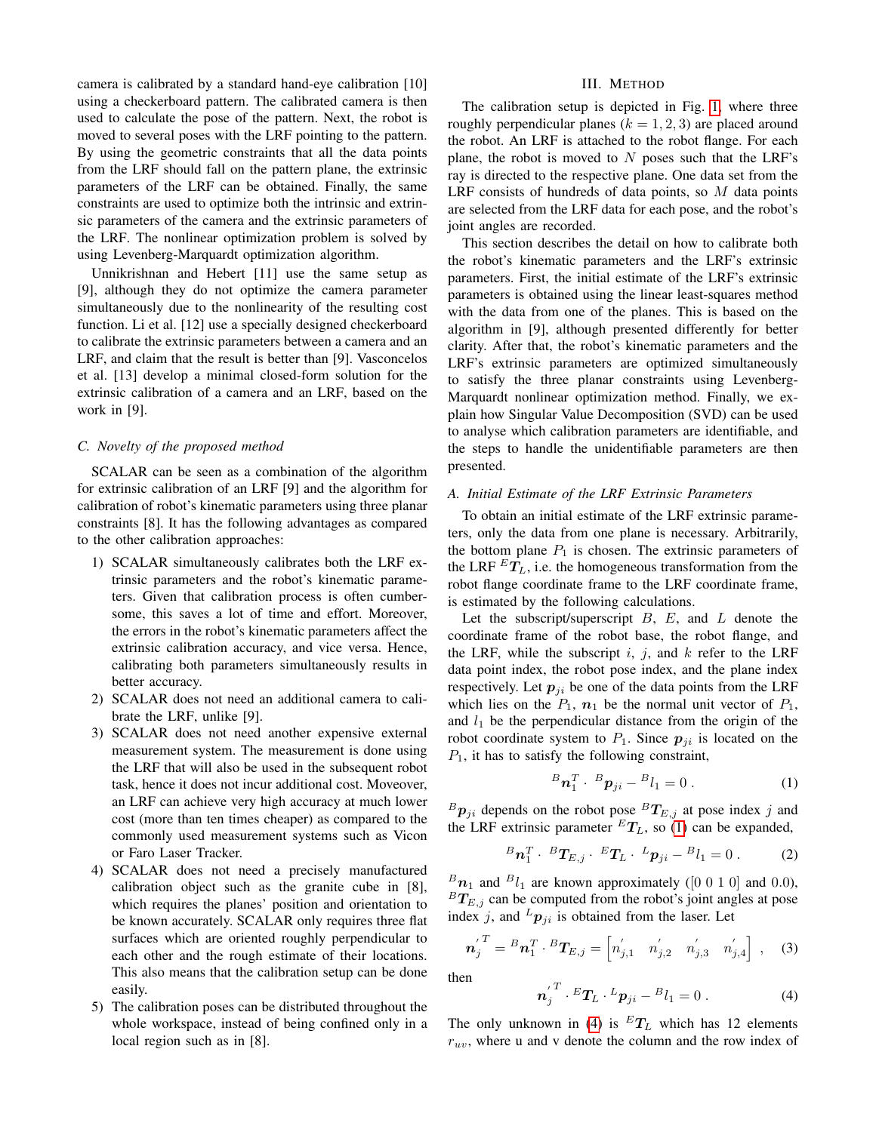camera is calibrated by a standard hand-eye calibration [10] using a checkerboard pattern. The calibrated camera is then used to calculate the pose of the pattern. Next, the robot is moved to several poses with the LRF pointing to the pattern. By using the geometric constraints that all the data points from the LRF should fall on the pattern plane, the extrinsic parameters of the LRF can be obtained. Finally, the same constraints are used to optimize both the intrinsic and extrinsic parameters of the camera and the extrinsic parameters of the LRF. The nonlinear optimization problem is solved by using Levenberg-Marquardt optimization algorithm.

Unnikrishnan and Hebert [11] use the same setup as [9], although they do not optimize the camera parameter simultaneously due to the nonlinearity of the resulting cost function. Li et al. [12] use a specially designed checkerboard to calibrate the extrinsic parameters between a camera and an LRF, and claim that the result is better than [9]. Vasconcelos et al. [13] develop a minimal closed-form solution for the extrinsic calibration of a camera and an LRF, based on the work in [9].

## *C. Novelty of the proposed method*

SCALAR can be seen as a combination of the algorithm for extrinsic calibration of an LRF [9] and the algorithm for calibration of robot's kinematic parameters using three planar constraints [8]. It has the following advantages as compared to the other calibration approaches:

- 1) SCALAR simultaneously calibrates both the LRF extrinsic parameters and the robot's kinematic parameters. Given that calibration process is often cumbersome, this saves a lot of time and effort. Moreover, the errors in the robot's kinematic parameters affect the extrinsic calibration accuracy, and vice versa. Hence, calibrating both parameters simultaneously results in better accuracy.
- 2) SCALAR does not need an additional camera to calibrate the LRF, unlike [9].
- 3) SCALAR does not need another expensive external measurement system. The measurement is done using the LRF that will also be used in the subsequent robot task, hence it does not incur additional cost. Moveover, an LRF can achieve very high accuracy at much lower cost (more than ten times cheaper) as compared to the commonly used measurement systems such as Vicon or Faro Laser Tracker.
- 4) SCALAR does not need a precisely manufactured calibration object such as the granite cube in [8], which requires the planes' position and orientation to be known accurately. SCALAR only requires three flat surfaces which are oriented roughly perpendicular to each other and the rough estimate of their locations. This also means that the calibration setup can be done easily.
- 5) The calibration poses can be distributed throughout the whole workspace, instead of being confined only in a local region such as in [8].

## III. METHOD

<span id="page-2-0"></span>The calibration setup is depicted in Fig. [1,](#page-0-0) where three roughly perpendicular planes ( $k = 1, 2, 3$ ) are placed around the robot. An LRF is attached to the robot flange. For each plane, the robot is moved to  $N$  poses such that the LRF's ray is directed to the respective plane. One data set from the LRF consists of hundreds of data points, so  $M$  data points are selected from the LRF data for each pose, and the robot's joint angles are recorded.

This section describes the detail on how to calibrate both the robot's kinematic parameters and the LRF's extrinsic parameters. First, the initial estimate of the LRF's extrinsic parameters is obtained using the linear least-squares method with the data from one of the planes. This is based on the algorithm in [9], although presented differently for better clarity. After that, the robot's kinematic parameters and the LRF's extrinsic parameters are optimized simultaneously to satisfy the three planar constraints using Levenberg-Marquardt nonlinear optimization method. Finally, we explain how Singular Value Decomposition (SVD) can be used to analyse which calibration parameters are identifiable, and the steps to handle the unidentifiable parameters are then presented.

# *A. Initial Estimate of the LRF Extrinsic Parameters*

To obtain an initial estimate of the LRF extrinsic parameters, only the data from one plane is necessary. Arbitrarily, the bottom plane  $P_1$  is chosen. The extrinsic parameters of the LRF  ${}^{E}T_{L}$ , i.e. the homogeneous transformation from the robot flange coordinate frame to the LRF coordinate frame, is estimated by the following calculations.

Let the subscript/superscript  $B$ ,  $E$ , and  $L$  denote the coordinate frame of the robot base, the robot flange, and the LRF, while the subscript i, j, and  $k$  refer to the LRF data point index, the robot pose index, and the plane index respectively. Let  $p_{ji}$  be one of the data points from the LRF which lies on the  $P_1$ ,  $n_1$  be the normal unit vector of  $P_1$ , and  $l_1$  be the perpendicular distance from the origin of the robot coordinate system to  $P_1$ . Since  $p_{ji}$  is located on the  $P_1$ , it has to satisfy the following constraint,

<span id="page-2-1"></span>
$$
{}^{B}\mathbf{n}_{1}^{T}\cdot{}^{B}\mathbf{p}_{ji}-{}^{B}l_{1}=0\ .\tag{1}
$$

 ${}^B\mathbf{p}_{ji}$  depends on the robot pose  ${}^B T_{E,j}$  at pose index j and the LRF extrinsic parameter  ${}^{E}T_{L}$ , so [\(1\)](#page-2-1) can be expanded,

$$
{}^{B}\boldsymbol{n}_{1}^{T}\cdot{}^{B}\boldsymbol{T}_{E,j}\cdot{}^{E}\boldsymbol{T}_{L}\cdot{}^{L}\boldsymbol{p}_{ji}-{}^{B}l_{1}=0.
$$
 (2)

 ${}^B\mathbf{n}_1$  and  ${}^Bl_1$  are known approximately ([0 0 1 0] and 0.0),  ${}^{B}T_{E,j}$  can be computed from the robot's joint angles at pose index j, and  ${}^L\mathbf{p}_{ii}$  is obtained from the laser. Let

$$
\boldsymbol{n}'_j^T = {}^B \boldsymbol{n}_1^T \cdot {}^B \boldsymbol{T}_{E,j} = \begin{bmatrix} n'_{j,1} & n'_{j,2} & n'_{j,3} & n'_{j,4} \end{bmatrix}, \quad (3)
$$

then

n

<span id="page-2-2"></span>
$$
{\bf a}_{j}^{'T} \cdot {}^{E}T_{L} \cdot {}^{L}p_{ji} - {}^{B}l_{1} = 0.
$$
 (4)

The only unknown in [\(4\)](#page-2-2) is  ${}^ET_L$  which has 12 elements  $r_{uv}$ , where u and v denote the column and the row index of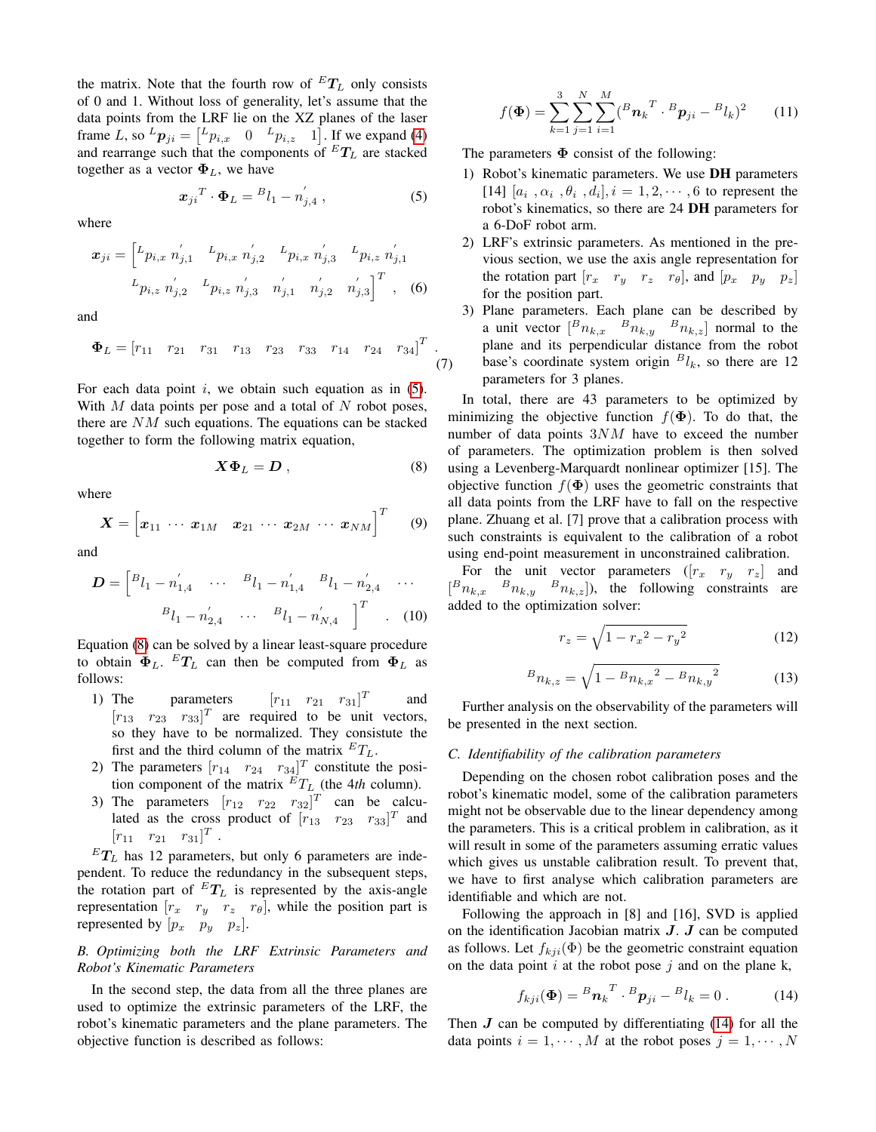the matrix. Note that the fourth row of  $^{E}T_{L}$  only consists of 0 and 1. Without loss of generality, let's assume that the data points from the LRF lie on the XZ planes of the laser frame L, so  ${}^L\mathbf{p}_{ji} = \begin{bmatrix} {}^L p_{i,x} & 0 & {}^L p_{i,z} & 1 \end{bmatrix}$ . If we expand [\(4\)](#page-2-2) and rearrange such that the components of  $^{E}T_{L}$  are stacked together as a vector  $\Phi_L$ , we have

<span id="page-3-0"></span>
$$
\boldsymbol{x}_{ji}^T \cdot \boldsymbol{\Phi}_L = {}^B l_1 - n'_{j,4} \,, \tag{5}
$$

where

$$
\boldsymbol{x}_{ji} = \begin{bmatrix} L_{p_{i,x}} & n'_{j,1} & L_{p_{i,x}} & n'_{j,2} & L_{p_{i,x}} & n'_{j,3} & L_{p_{i,z}} & n'_{j,1} \\ L_{p_{i,z}} & n'_{j,2} & L_{p_{i,z}} & n'_{j,3} & n'_{j,1} & n'_{j,2} & n'_{j,3} \end{bmatrix}^T, \quad (6)
$$

and

$$
\Phi_L = \begin{bmatrix} r_{11} & r_{21} & r_{31} & r_{13} & r_{23} & r_{33} & r_{14} & r_{24} & r_{34} \end{bmatrix}^T . \tag{7}
$$

For each data point  $i$ , we obtain such equation as in  $(5)$ . With  $M$  data points per pose and a total of  $N$  robot poses, there are NM such equations. The equations can be stacked together to form the following matrix equation,

<span id="page-3-1"></span>
$$
X\Phi_L = D\,,\tag{8}
$$

where

$$
\boldsymbol{X} = \begin{bmatrix} x_{11} & \cdots & x_{1M} & x_{21} & \cdots & x_{2M} & \cdots & x_{NM} \end{bmatrix}^T \qquad (9)
$$

and

$$
\mathbf{D} = \begin{bmatrix} B_{l_1} - n'_{1,4} & \cdots & B_{l_1} - n'_{1,4} & B_{l_1} - n'_{2,4} & \cdots \\ B_{l_1} - n'_{2,4} & \cdots & B_{l_1} - n'_{N,4} \end{bmatrix}^T
$$
 (10)

Equation [\(8\)](#page-3-1) can be solved by a linear least-square procedure to obtain  $\Phi_L$ .  $^ET_L$  can then be computed from  $\Phi_L$  as follows:

- 1) The parameters  $[r_{11} \quad r_{21} \quad r_{31}]^T$  and  $[r_{13} \quad r_{23} \quad r_{33}]^T$  are required to be unit vectors, so they have to be normalized. They consistute the first and the third column of the matrix  $^{E}T_{L}$ .
- 2) The parameters  $[r_{14} \quad r_{24} \quad r_{34}]^T$  constitute the position component of the matrix  ${}^{E}T_{L}$  (the 4*th* column).
- 3) The parameters  $[r_{12}$   $r_{22}$   $r_{32}]^T$  can be calculated as the cross product of  $[r_{13}$   $r_{23}$   $r_{33}]^T$  and  $[r_{11} \quad r_{21} \quad r_{31}]^T$ .

 ${}^E T_L$  has 12 parameters, but only 6 parameters are independent. To reduce the redundancy in the subsequent steps, the rotation part of  ${}^E T_L$  is represented by the axis-angle representation  $[r_x \ r_y \ r_z \ r_\theta]$ , while the position part is represented by  $[p_x \quad p_y \quad p_z]$ .

# *B. Optimizing both the LRF Extrinsic Parameters and Robot's Kinematic Parameters*

In the second step, the data from all the three planes are used to optimize the extrinsic parameters of the LRF, the robot's kinematic parameters and the plane parameters. The objective function is described as follows:

$$
f(\mathbf{\Phi}) = \sum_{k=1}^{3} \sum_{j=1}^{N} \sum_{i=1}^{M} {(\mathbf{B}_{\mathbf{n}_k}^T \cdot \mathbf{B}_{\mathbf{p}_{ji}} - \mathbf{B}_{l_k})^2}
$$
 (11)

The parameters  $\Phi$  consist of the following:

- 1) Robot's kinematic parameters. We use DH parameters [14]  $[a_i, \alpha_i, \theta_i, d_i], i = 1, 2, \dots, 6$  to represent the robot's kinematics, so there are 24 DH parameters for a 6-DoF robot arm.
- 2) LRF's extrinsic parameters. As mentioned in the previous section, we use the axis angle representation for the rotation part  $[r_x \ r_y \ r_z \ r_\theta]$ , and  $[p_x \ p_y \ p_z]$ for the position part.
- 3) Plane parameters. Each plane can be described by a unit vector  $\begin{bmatrix} B_{n_{k,x}} & B_{n_{k,y}} & B_{n_{k,z}} \end{bmatrix}$  normal to the plane and its perpendicular distance from the robot base's coordinate system origin  $B_{l_k}$ , so there are 12 parameters for 3 planes.

In total, there are 43 parameters to be optimized by minimizing the objective function  $f(\Phi)$ . To do that, the number of data points 3NM have to exceed the number of parameters. The optimization problem is then solved using a Levenberg-Marquardt nonlinear optimizer [15]. The objective function  $f(\Phi)$  uses the geometric constraints that all data points from the LRF have to fall on the respective plane. Zhuang et al. [7] prove that a calibration process with such constraints is equivalent to the calibration of a robot using end-point measurement in unconstrained calibration.

For the unit vector parameters  $([r_x \ r_y \ r_z]$  and  $\begin{bmatrix} B_{n_{k,x}} & B_{n_{k,y}} & B_{n_{k,z}} \end{bmatrix}$ , the following constraints are added to the optimization solver:

<span id="page-3-3"></span>
$$
r_z = \sqrt{1 - r_x^2 - r_y^2} \tag{12}
$$

<span id="page-3-4"></span>
$$
B_{n_{k,z}} = \sqrt{1 - {B_{n_{k,x}}}^2 - {B_{n_{k,y}}}^2}
$$
 (13)

Further analysis on the observability of the parameters will be presented in the next section.

## *C. Identifiability of the calibration parameters*

Depending on the chosen robot calibration poses and the robot's kinematic model, some of the calibration parameters might not be observable due to the linear dependency among the parameters. This is a critical problem in calibration, as it will result in some of the parameters assuming erratic values which gives us unstable calibration result. To prevent that, we have to first analyse which calibration parameters are identifiable and which are not.

Following the approach in [8] and [16], SVD is applied on the identification Jacobian matrix  $J$ .  $J$  can be computed as follows. Let  $f_{kji}(\Phi)$  be the geometric constraint equation on the data point  $i$  at the robot pose  $j$  and on the plane k,

<span id="page-3-2"></span>
$$
f_{kji}(\mathbf{\Phi}) = {}^{B}\mathbf{n}_{k}^T \cdot {}^{B}\mathbf{p}_{ji} - {}^{B}l_{k} = 0.
$$
 (14)

Then  $J$  can be computed by differentiating [\(14\)](#page-3-2) for all the data points  $i = 1, \dots, M$  at the robot poses  $j = 1, \dots, N$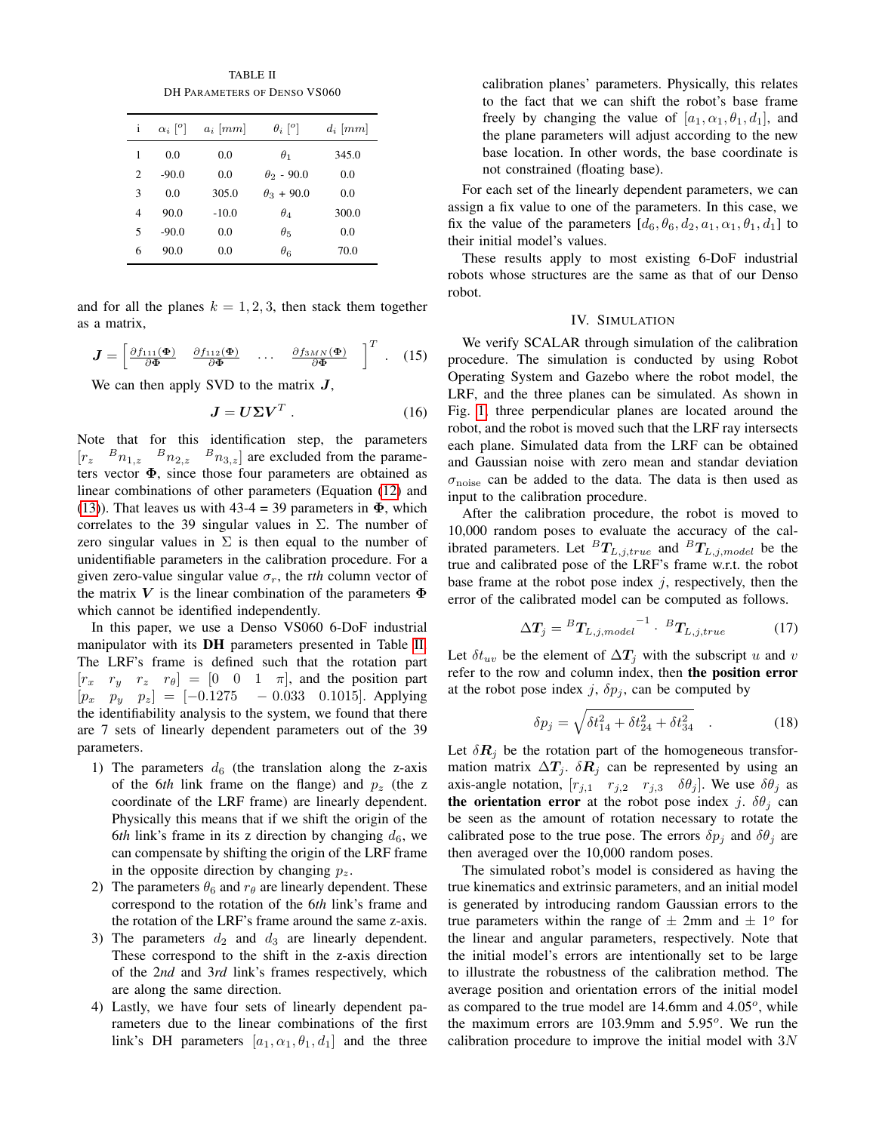TABLE II DH PARAMETERS OF DENSO VS060

<span id="page-4-1"></span>

| i | $\alpha_i$ <sup>[o]</sup> | $a_i$ [mm] | $\theta_i$ [ <sup>o</sup> ] | $d_i$ [mm] |
|---|---------------------------|------------|-----------------------------|------------|
| 1 | 0.0                       | 0.0        | $\theta_1$                  | 345.0      |
| 2 | $-90.0$                   | 0.0        | $\theta_2$ - 90.0           | 0.0        |
| 3 | 0.0                       | 305.0      | $\theta_3 + 90.0$           | 0.0        |
| 4 | 90.0                      | $-10.0$    | $\theta_4$                  | 300.0      |
| 5 | $-90.0$                   | 0.0        | $\theta_{5}$                | 0.0        |
| 6 | 90.0                      | 0.0        | $\theta_6$                  | 70.0       |

and for all the planes  $k = 1, 2, 3$ , then stack them together as a matrix,

$$
\boldsymbol{J} = \begin{bmatrix} \frac{\partial f_{111}(\boldsymbol{\Phi})}{\partial \boldsymbol{\Phi}} & \frac{\partial f_{112}(\boldsymbol{\Phi})}{\partial \boldsymbol{\Phi}} & \cdots & \frac{\partial f_{3MN}(\boldsymbol{\Phi})}{\partial \boldsymbol{\Phi}} \end{bmatrix}^T. \quad (15)
$$

We can then apply SVD to the matrix  $J$ ,

$$
J = U\Sigma V^T \,. \tag{16}
$$

Note that for this identification step, the parameters  $[r_z \quad B_{n_{1,z}} \quad B_{n_{2,z}} \quad B_{n_{3,z}}]$  are excluded from the parameters vector  $\Phi$ , since those four parameters are obtained as linear combinations of other parameters (Equation [\(12\)](#page-3-3) and [\(13\)](#page-3-4)). That leaves us with  $43-4 = 39$  parameters in  $\Phi$ , which correlates to the 39 singular values in  $\Sigma$ . The number of zero singular values in  $\Sigma$  is then equal to the number of unidentifiable parameters in the calibration procedure. For a given zero-value singular value  $\sigma_r$ , the rth column vector of the matrix V is the linear combination of the parameters  $\Phi$ which cannot be identified independently.

In this paper, we use a Denso VS060 6-DoF industrial manipulator with its DH parameters presented in Table [II.](#page-4-1) The LRF's frame is defined such that the rotation part  $[r_x \ r_y \ r_z \ r_\theta] = [0 \ 0 \ 1 \ \pi]$ , and the position part  $[p_x \quad p_y \quad p_z] = [-0.1275 \quad -0.033 \quad 0.1015]$ . Applying the identifiability analysis to the system, we found that there are 7 sets of linearly dependent parameters out of the 39 parameters.

- 1) The parameters  $d_6$  (the translation along the z-axis of the 6*th* link frame on the flange) and  $p_z$  (the z coordinate of the LRF frame) are linearly dependent. Physically this means that if we shift the origin of the 6*th* link's frame in its z direction by changing  $d_6$ , we can compensate by shifting the origin of the LRF frame in the opposite direction by changing  $p_z$ .
- 2) The parameters  $\theta_6$  and  $r_\theta$  are linearly dependent. These correspond to the rotation of the 6*th* link's frame and the rotation of the LRF's frame around the same z-axis.
- 3) The parameters  $d_2$  and  $d_3$  are linearly dependent. These correspond to the shift in the z-axis direction of the 2*nd* and 3*rd* link's frames respectively, which are along the same direction.
- 4) Lastly, we have four sets of linearly dependent parameters due to the linear combinations of the first link's DH parameters  $[a_1, \alpha_1, \theta_1, d_1]$  and the three

calibration planes' parameters. Physically, this relates to the fact that we can shift the robot's base frame freely by changing the value of  $[a_1, \alpha_1, \theta_1, d_1]$ , and the plane parameters will adjust according to the new base location. In other words, the base coordinate is not constrained (floating base).

For each set of the linearly dependent parameters, we can assign a fix value to one of the parameters. In this case, we fix the value of the parameters  $[d_6, \theta_6, d_2, a_1, \alpha_1, \theta_1, d_1]$  to their initial model's values.

These results apply to most existing 6-DoF industrial robots whose structures are the same as that of our Denso robot.

## IV. SIMULATION

<span id="page-4-0"></span>We verify SCALAR through simulation of the calibration procedure. The simulation is conducted by using Robot Operating System and Gazebo where the robot model, the LRF, and the three planes can be simulated. As shown in Fig. [1,](#page-0-0) three perpendicular planes are located around the robot, and the robot is moved such that the LRF ray intersects each plane. Simulated data from the LRF can be obtained and Gaussian noise with zero mean and standar deviation  $\sigma_{\text{noise}}$  can be added to the data. The data is then used as input to the calibration procedure.

After the calibration procedure, the robot is moved to 10,000 random poses to evaluate the accuracy of the calibrated parameters. Let  ${}^{B}T_{L,j,true}$  and  ${}^{B}T_{L,j model}$  be the true and calibrated pose of the LRF's frame w.r.t. the robot base frame at the robot pose index  $j$ , respectively, then the error of the calibrated model can be computed as follows.

$$
\Delta T_j = {}^B T_{L,j,model}^{-1} \cdot {}^B T_{L,j,true} \tag{17}
$$

Let  $\delta t_{uv}$  be the element of  $\Delta T_j$  with the subscript u and v refer to the row and column index, then the position error at the robot pose index j,  $\delta p_j$ , can be computed by

$$
\delta p_j = \sqrt{\delta t_{14}^2 + \delta t_{24}^2 + \delta t_{34}^2} \quad . \tag{18}
$$

Let  $\delta R_i$  be the rotation part of the homogeneous transformation matrix  $\Delta T_j$ .  $\delta R_j$  can be represented by using an axis-angle notation,  $[r_{j,1}$   $r_{j,2}$   $r_{j,3}$   $\delta\theta_j$ . We use  $\delta\theta_j$  as the orientation error at the robot pose index j.  $\delta\theta_j$  can be seen as the amount of rotation necessary to rotate the calibrated pose to the true pose. The errors  $\delta p_i$  and  $\delta \theta_i$  are then averaged over the 10,000 random poses.

The simulated robot's model is considered as having the true kinematics and extrinsic parameters, and an initial model is generated by introducing random Gaussian errors to the true parameters within the range of  $\pm$  2mm and  $\pm$  1<sup>o</sup> for the linear and angular parameters, respectively. Note that the initial model's errors are intentionally set to be large to illustrate the robustness of the calibration method. The average position and orientation errors of the initial model as compared to the true model are  $14.6$ mm and  $4.05^{\circ}$ , while the maximum errors are  $103.9$ mm and  $5.95^\circ$ . We run the calibration procedure to improve the initial model with 3N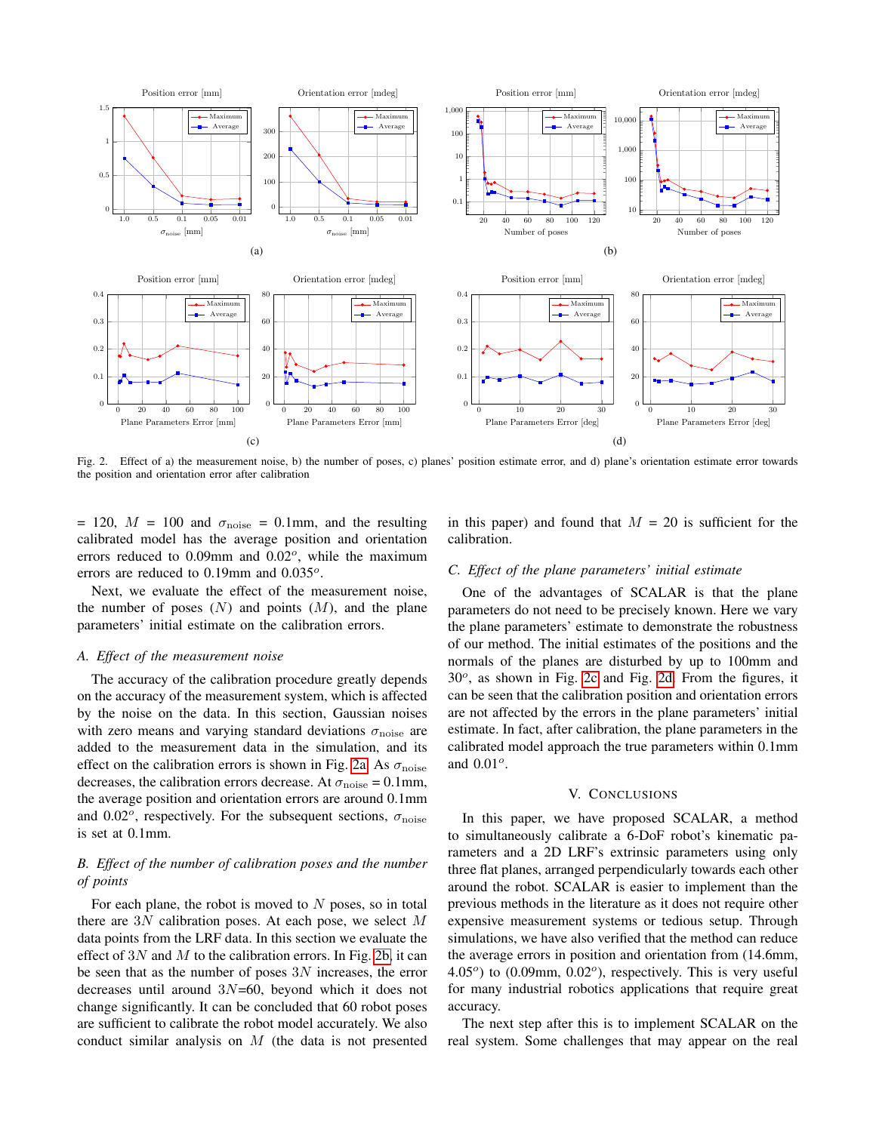<span id="page-5-3"></span><span id="page-5-1"></span>

Fig. 2. Effect of a) the measurement noise, b) the number of poses, c) planes' position estimate error, and d) plane's orientation estimate error towards the position and orientation error after calibration

= 120,  $M = 100$  and  $\sigma_{\text{noise}} = 0.1$ mm, and the resulting calibrated model has the average position and orientation errors reduced to  $0.09$ mm and  $0.02^{\circ}$ , while the maximum errors are reduced to  $0.19$ mm and  $0.035^o$ .

Next, we evaluate the effect of the measurement noise, the number of poses  $(N)$  and points  $(M)$ , and the plane parameters' initial estimate on the calibration errors.

#### *A. Effect of the measurement noise*

The accuracy of the calibration procedure greatly depends on the accuracy of the measurement system, which is affected by the noise on the data. In this section, Gaussian noises with zero means and varying standard deviations  $\sigma_{\text{noise}}$  are added to the measurement data in the simulation, and its effect on the calibration errors is shown in Fig. [2a.](#page-5-1) As  $\sigma_{\text{noise}}$ decreases, the calibration errors decrease. At  $\sigma_{\text{noise}} = 0.1 \text{mm}$ , the average position and orientation errors are around 0.1mm and 0.02 $^o$ , respectively. For the subsequent sections,  $\sigma_{\text{noise}}$ is set at 0.1mm.

# *B. Effect of the number of calibration poses and the number of points*

For each plane, the robot is moved to  $N$  poses, so in total there are  $3N$  calibration poses. At each pose, we select M data points from the LRF data. In this section we evaluate the effect of  $3N$  and M to the calibration errors. In Fig. [2b,](#page-5-2) it can be seen that as the number of poses  $3N$  increases, the error decreases until around 3N=60, beyond which it does not change significantly. It can be concluded that 60 robot poses are sufficient to calibrate the robot model accurately. We also conduct similar analysis on M (the data is not presented

<span id="page-5-4"></span><span id="page-5-2"></span>in this paper) and found that  $M = 20$  is sufficient for the calibration.

## *C. Effect of the plane parameters' initial estimate*

One of the advantages of SCALAR is that the plane parameters do not need to be precisely known. Here we vary the plane parameters' estimate to demonstrate the robustness of our method. The initial estimates of the positions and the normals of the planes are disturbed by up to 100mm and  $30^\circ$ , as shown in Fig. [2c](#page-5-3) and Fig. [2d.](#page-5-4) From the figures, it can be seen that the calibration position and orientation errors are not affected by the errors in the plane parameters' initial estimate. In fact, after calibration, the plane parameters in the calibrated model approach the true parameters within 0.1mm and  $0.01^{\circ}$ .

# V. CONCLUSIONS

<span id="page-5-0"></span>In this paper, we have proposed SCALAR, a method to simultaneously calibrate a 6-DoF robot's kinematic parameters and a 2D LRF's extrinsic parameters using only three flat planes, arranged perpendicularly towards each other around the robot. SCALAR is easier to implement than the previous methods in the literature as it does not require other expensive measurement systems or tedious setup. Through simulations, we have also verified that the method can reduce the average errors in position and orientation from (14.6mm,  $4.05<sup>o</sup>$ ) to  $(0.09$ mm,  $0.02<sup>o</sup>$ ), respectively. This is very useful for many industrial robotics applications that require great accuracy.

The next step after this is to implement SCALAR on the real system. Some challenges that may appear on the real